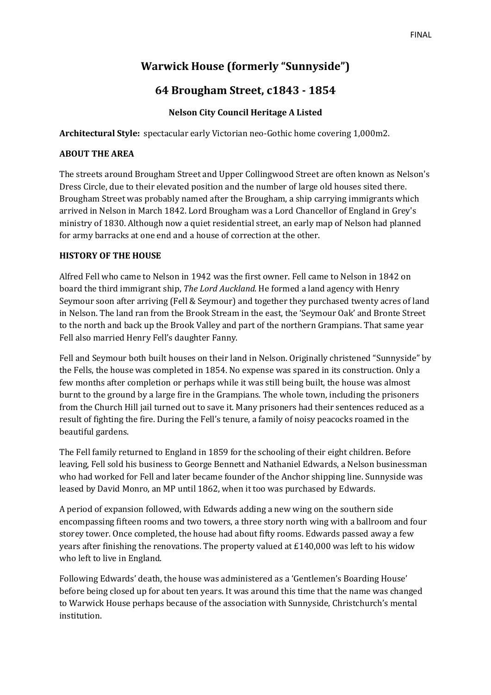# **Warwick House (formerly "Sunnyside")**

# **64 Brougham Street, c1843 - 1854**

## **Nelson City Council Heritage A Listed**

**Architectural Style:** spectacular early Victorian neo-Gothic home covering 1,000m2.

#### **ABOUT THE AREA**

The streets around Brougham Street and Upper Collingwood Street are often known as Nelson's Dress Circle, due to their elevated position and the number of large old houses sited there. Brougham Street was probably named after the Brougham, a ship carrying immigrants which arrived in Nelson in March 1842. Lord Brougham was a Lord Chancellor of England in Grey's ministry of 1830. Although now a quiet residential street, an early map of Nelson had planned for army barracks at one end and a house of correction at the other.

### **HISTORY OF THE HOUSE**

Alfred Fell who came to Nelson in 1942 was the first owner. Fell came to Nelson in 1842 on board the third immigrant ship, *The Lord Auckland.* He formed a land agency with Henry Seymour soon after arriving (Fell & Seymour) and together they purchased twenty acres of land in Nelson. The land ran from the Brook Stream in the east, the 'Seymour Oak' and Bronte Street to the north and back up the Brook Valley and part of the northern Grampians. That same year Fell also married Henry Fell's daughter Fanny.

Fell and Seymour both built houses on their land in Nelson. Originally christened "Sunnyside" by the Fells, the house was completed in 1854. No expense was spared in its construction. Only a few months after completion or perhaps while it was still being built, the house was almost burnt to the ground by a large fire in the Grampians. The whole town, including the prisoners from the Church Hill jail turned out to save it. Many prisoners had their sentences reduced as a result of fighting the fire. During the Fell's tenure, a family of noisy peacocks roamed in the beautiful gardens.

The Fell family returned to England in 1859 for the schooling of their eight children. Before leaving, Fell sold his business to George Bennett and Nathaniel Edwards, a Nelson businessman who had worked for Fell and later became founder of the Anchor shipping line. Sunnyside was leased by David Monro, an MP until 1862, when it too was purchased by Edwards.

A period of expansion followed, with Edwards adding a new wing on the southern side encompassing fifteen rooms and two towers, a three story north wing with a ballroom and four storey tower. Once completed, the house had about fifty rooms. Edwards passed away a few years after finishing the renovations. The property valued at £140,000 was left to his widow who left to live in England.

Following Edwards' death, the house was administered as a 'Gentlemen's Boarding House' before being closed up for about ten years. It was around this time that the name was changed to Warwick House perhaps because of the association with Sunnyside, Christchurch's mental institution.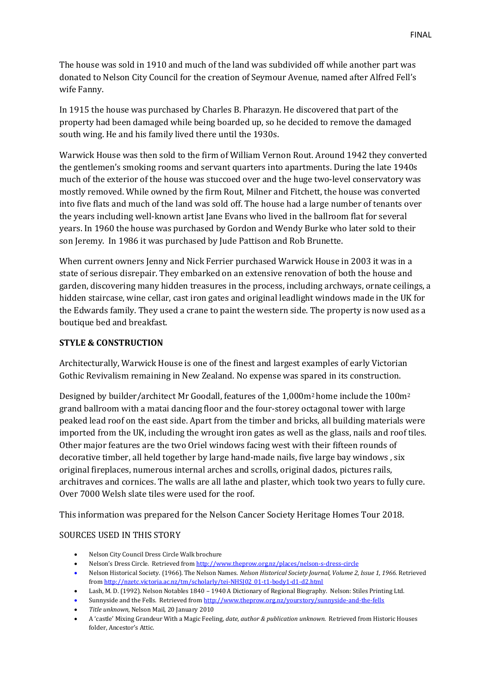The house was sold in 1910 and much of the land was subdivided off while another part was donated to Nelson City Council for the creation of Seymour Avenue, named after Alfred Fell's wife Fanny.

In 1915 the house was purchased by Charles B. Pharazyn. He discovered that part of the property had been damaged while being boarded up, so he decided to remove the damaged south wing. He and his family lived there until the 1930s.

Warwick House was then sold to the firm of William Vernon Rout. Around 1942 they converted the gentlemen's smoking rooms and servant quarters into apartments. During the late 1940s much of the exterior of the house was stuccoed over and the huge two-level conservatory was mostly removed. While owned by the firm Rout, Milner and Fitchett, the house was converted into five flats and much of the land was sold off. The house had a large number of tenants over the years including well-known artist Jane Evans who lived in the ballroom flat for several years. In 1960 the house was purchased by Gordon and Wendy Burke who later sold to their son Jeremy. In 1986 it was purchased by Jude Pattison and Rob Brunette.

When current owners Jenny and Nick Ferrier purchased Warwick House in 2003 it was in a state of serious disrepair. They embarked on an extensive renovation of both the house and garden, discovering many hidden treasures in the process, including archways, ornate ceilings, a hidden staircase, wine cellar, cast iron gates and original leadlight windows made in the UK for the Edwards family. They used a crane to paint the western side. The property is now used as a boutique bed and breakfast.

#### **STYLE & CONSTRUCTION**

Architecturally, Warwick House is one of the finest and largest examples of early Victorian Gothic Revivalism remaining in New Zealand. No expense was spared in its construction.

Designed by builder/architect Mr Goodall, features of the 1,000m2 home include the 100m<sup>2</sup> grand ballroom with a matai dancing floor and the four-storey octagonal tower with large peaked lead roof on the east side. Apart from the timber and bricks, all building materials were imported from the UK, including the wrought iron gates as well as the glass, nails and roof tiles. Other major features are the two Oriel windows facing west with their fifteen rounds of decorative timber, all held together by large hand-made nails, five large bay windows , six original fireplaces, numerous internal arches and scrolls, original dados, pictures rails, architraves and cornices. The walls are all lathe and plaster, which took two years to fully cure. Over 7000 Welsh slate tiles were used for the roof.

This information was prepared for the Nelson Cancer Society Heritage Homes Tour 2018.

#### SOURCES USED IN THIS STORY

- Nelson City Council Dress Circle Walk brochure
- Nelson's Dress Circle. Retrieved from <http://www.theprow.org.nz/places/nelson-s-dress-circle>
- Nelson Historical Society. (1966). The Nelson Names. *Nelson Historical Society Journal, Volume 2, Issue 1, 1966.* Retrieved fro[m http://nzetc.victoria.ac.nz/tm/scholarly/tei-NHSJ02\\_01-t1-body1-d1-d2.html](http://nzetc.victoria.ac.nz/tm/scholarly/tei-NHSJ02_01-t1-body1-d1-d2.html)
- Lash, M. D. (1992). Nelson Notables 1840 1940 A Dictionary of Regional Biography. Nelson: Stiles Printing Ltd.
- Sunnyside and the Fells. Retrieved fro[m http://www.theprow.org.nz/yourstory/sunnyside-and-the-fells](http://www.theprow.org.nz/yourstory/sunnyside-and-the-fells)
- *Title unknown,* Nelson Mail, 20 January 2010
- A 'castle' Mixing Grandeur With a Magic Feeling, *date, author & publication unknown.* Retrieved from Historic Houses folder, Ancestor's Attic.